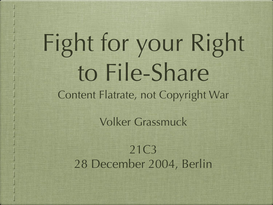# Fight for your Right to File-Share Content Flatrate, not Copyright War

Volker Grassmuck

21C3 28 December 2004, Berlin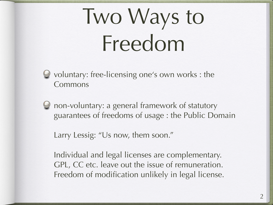## Two Ways to Freedom

- voluntary: free-licensing one's own works : the Commons
- non-voluntary: a general framework of statutory guarantees of freedoms of usage : the Public Domain

Larry Lessig: "Us now, them soon."

Individual and legal licenses are complementary. GPL, CC etc. leave out the issue of remuneration. Freedom of modification unlikely in legal license.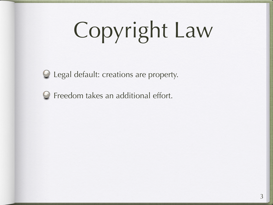# Copyright Law



 $\bigcirc$  Legal default: creations are property.

Freedom takes an additional effort.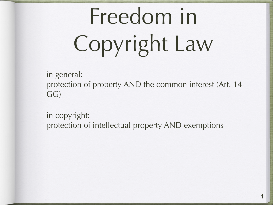# Freedom in Copyright Law

in general:

protection of property AND the common interest (Art. 14 GG)

in copyright: protection of intellectual property AND exemptions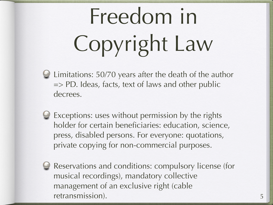# Freedom in Copyright Law

- Limitations: 50/70 years after the death of the author => PD. Ideas, facts, text of laws and other public decrees.
- Exceptions: uses without permission by the rights holder for certain beneficiaries: education, science, press, disabled persons. For everyone: quotations, private copying for non-commercial purposes.
- 

Reservations and conditions: compulsory license (for musical recordings), mandatory collective management of an exclusive right (cable retransmission).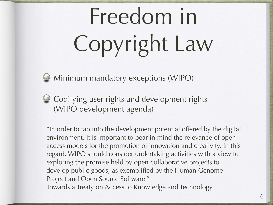# Freedom in Copyright Law

Minimum mandatory exceptions (WIPO)

**Codifying user rights and development rights** (WIPO development agenda)

"In order to tap into the development potential offered by the digital environment, it is important to bear in mind the relevance of open access models for the promotion of innovation and creativity. In this regard, WIPO should consider undertaking activities with a view to exploring the promise held by open collaborative projects to develop public goods, as exemplified by the Human Genome Project and Open Source Software."

Towards a Treaty on Access to Knowledge and Technology.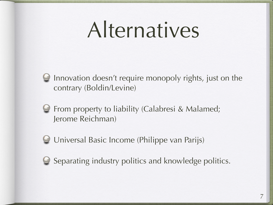### Alternatives



Innovation doesn't require monopoly rights, just on the contrary (Boldin/Levine)

- From property to liability (Calabresi & Malamed; Jerome Reichman)
- Universal Basic Income (Philippe van Parijs)



Separating industry politics and knowledge politics.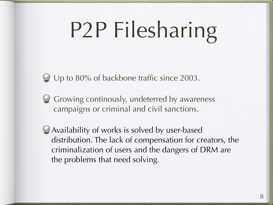## P2P Filesharing

Up to 80% of backbone traffic since 2003.

- Growing continously, undeterred by awareness campaigns or criminal and civil sanctions.
- Availability of works is solved by user-based distribution. The lack of compensation for creators, the criminalization of users and the dangers of DRM are the problems that need solving.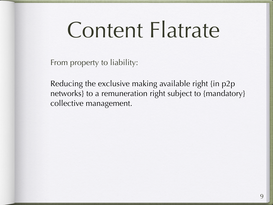#### Content Flatrate

From property to liability:

Reducing the exclusive making available right {in p2p networks} to a remuneration right subject to {mandatory} collective management.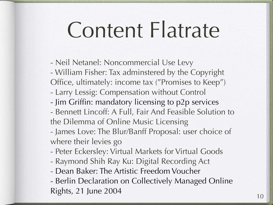#### Content Flatrate

- Neil Netanel: Noncommercial Use Levy
- William Fisher: Tax adminstered by the Copyright Office, ultimately: income tax ("Promises to Keep")
- Larry Lessig: Compensation without Control
- Jim Griffin: mandatory licensing to p2p services
- Bennett Lincoff: A Full, Fair And Feasible Solution to the Dilemma of Online Music Licensing
- James Love: The Blur/Banff Proposal: user choice of where their levies go
- Peter Eckersley: Virtual Markets for Virtual Goods
- Raymond Shih Ray Ku: Digital Recording Act
- Dean Baker: The Artistic Freedom Voucher
- Berlin Declaration on Collectively Managed Online Rights, 21 June 2004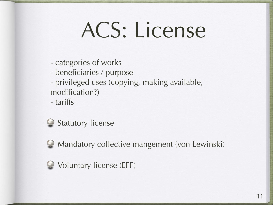### ACS: License

- categories of works
- beneficiaries / purpose
- privileged uses (copying, making available, modification?)

- tariffs



Mandatory collective mangement (von Lewinski)

Voluntary license (EFF)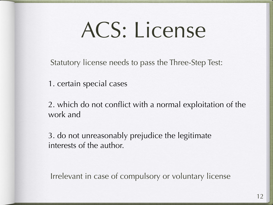### ACS: License

Statutory license needs to pass the Three-Step Test:

1. certain special cases

2. which do not conflict with a normal exploitation of the work and

3. do not unreasonably prejudice the legitimate interests of the author.

Irrelevant in case of compulsory or voluntary license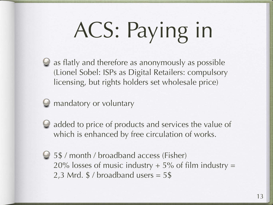# ACS: Paying in

as flatly and therefore as anonymously as possible (Lionel Sobel: ISPs as Digital Retailers: compulsory licensing, but rights holders set wholesale price)

#### $\Theta$  mandatory or voluntary

- - $\bigcirc$  added to price of products and services the value of which is enhanced by free circulation of works.
	- 5\$ / month / broadband access (Fisher)  $20\%$  losses of music industry  $+5\%$  of film industry = 2,3 Mrd.  $$/$  broadband users  $= 5$  \$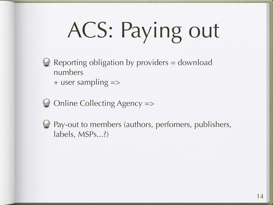# ACS: Paying out

- Reporting obligation by providers = download numbers  $+$  user sampling  $=$
- Online Collecting Agency =>
- - Pay-out to members (authors, perfomers, publishers, labels, MSPs...?)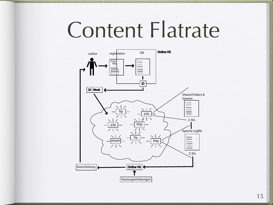#### Content Flatrate

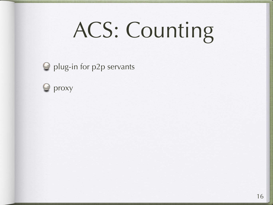## ACS: Counting

**S** plug-in for p2p servants

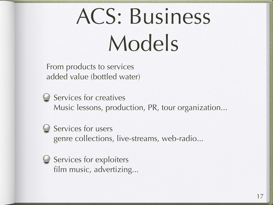## ACS: Business Models

From products to services added value (bottled water)

Services for creatives Music lessons, production, PR, tour organization...

Services for users genre collections, live-streams, web-radio...

Services for exploiters film music, advertizing...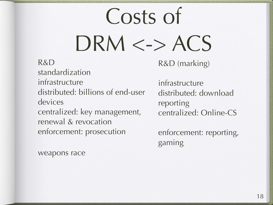## Costs of DRM <-> ACS

#### R&D

standardization infrastructure distributed: billions of end-user devices centralized: key management, renewal & revocation enforcement: prosecution

weapons race

R&D (marking)

infrastructure distributed: download reporting centralized: Online-CS

enforcement: reporting, gaming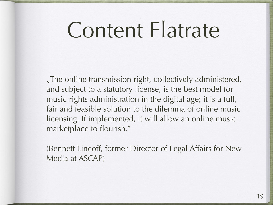#### Content Flatrate

"The online transmission right, collectively administered, and subject to a statutory license, is the best model for music rights administration in the digital age; it is a full, fair and feasible solution to the dilemma of online music licensing. If implemented, it will allow an online music marketplace to flourish."

(Bennett Lincoff, former Director of Legal Affairs for New Media at ASCAP)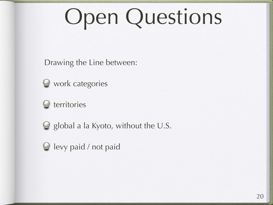## Open Questions

Drawing the Line between:



 $\bullet$  work categories



 $\bigcirc$  global a la Kyoto, without the U.S.

**O** levy paid / not paid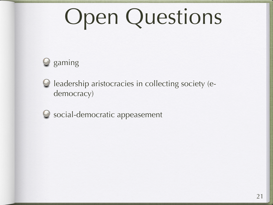## Open Questions





leadership aristocracies in collecting society (edemocracy)



 $\bullet$  social-democratic appeasement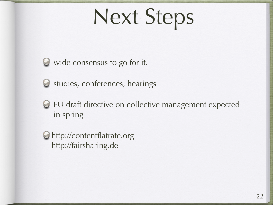### Next Steps



 $\bullet$  wide consensus to go for it.



 $\bullet$  studies, conferences, hearings

#### EU draft directive on collective management expected in spring

http://contentflatrate.org http://fairsharing.de